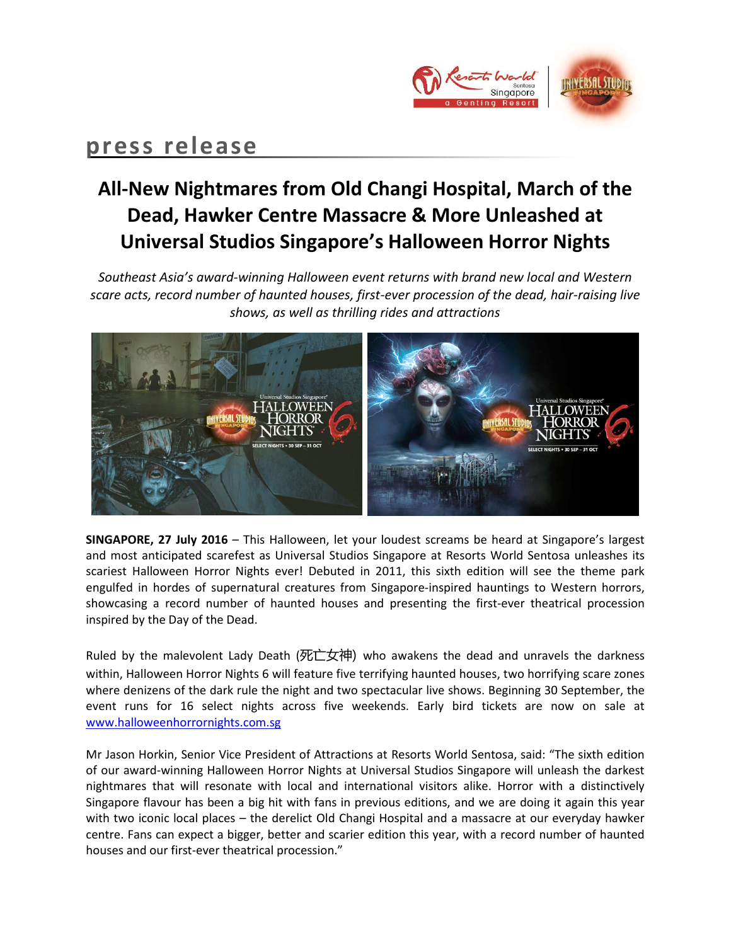

# **press release**

# **All-New Nightmares from Old Changi Hospital, March of the Dead, Hawker Centre Massacre & More Unleashed at Universal Studios Singapore's Halloween Horror Nights**

*Southeast Asia's award-winning Halloween event returns with brand new local and Western scare acts, record number of haunted houses, first-ever procession of the dead, hair-raising live shows, as well as thrilling rides and attractions*



**SINGAPORE, 27 July 2016** – This Halloween, let your loudest screams be heard at Singapore's largest and most anticipated scarefest as Universal Studios Singapore at Resorts World Sentosa unleashes its scariest Halloween Horror Nights ever! Debuted in 2011, this sixth edition will see the theme park engulfed in hordes of supernatural creatures from Singapore-inspired hauntings to Western horrors, showcasing a record number of haunted houses and presenting the first-ever theatrical procession inspired by the Day of the Dead.

Ruled by the malevolent Lady Death (死亡女神) who awakens the dead and unravels the darkness within, Halloween Horror Nights 6 will feature five terrifying haunted houses, two horrifying scare zones where denizens of the dark rule the night and two spectacular live shows. Beginning 30 September, the event runs for 16 select nights across five weekends. Early bird tickets are now on sale at [www.halloweenhorrornights.com.sg](http://www.halloweenhorrornights.com.sg/)

Mr Jason Horkin, Senior Vice President of Attractions at Resorts World Sentosa, said: "The sixth edition of our award-winning Halloween Horror Nights at Universal Studios Singapore will unleash the darkest nightmares that will resonate with local and international visitors alike. Horror with a distinctively Singapore flavour has been a big hit with fans in previous editions, and we are doing it again this year with two iconic local places – the derelict Old Changi Hospital and a massacre at our everyday hawker centre. Fans can expect a bigger, better and scarier edition this year, with a record number of haunted houses and our first-ever theatrical procession."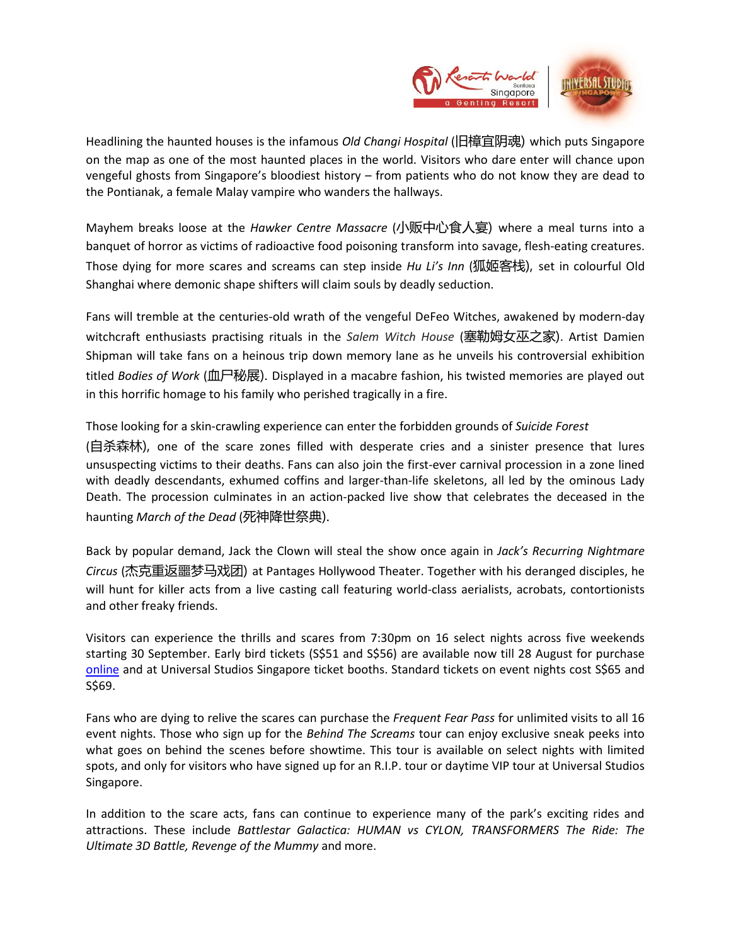

Headlining the haunted houses is the infamous *Old Changi Hospital* (旧樟宜阴魂) which puts Singapore on the map as one of the most haunted places in the world. Visitors who dare enter will chance upon vengeful ghosts from Singapore's bloodiest history – from patients who do not know they are dead to the Pontianak, a female Malay vampire who wanders the hallways.

Mayhem breaks loose at the *Hawker Centre Massacre* (小贩中心食人宴) where a meal turns into a banquet of horror as victims of radioactive food poisoning transform into savage, flesh-eating creatures. Those dying for more scares and screams can step inside *Hu Li's Inn* (狐姬客栈), set in colourful Old Shanghai where demonic shape shifters will claim souls by deadly seduction.

Fans will tremble at the centuries-old wrath of the vengeful DeFeo Witches, awakened by modern-day witchcraft enthusiasts practising rituals in the *Salem Witch House* (塞勒姆女巫之家). Artist Damien Shipman will take fans on a heinous trip down memory lane as he unveils his controversial exhibition titled *Bodies of Work* (血尸秘展). Displayed in a macabre fashion, his twisted memories are played out in this horrific homage to his family who perished tragically in a fire.

Those looking for a skin-crawling experience can enter the forbidden grounds of *Suicide Forest* (自杀森林), one of the scare zones filled with desperate cries and a sinister presence that lures unsuspecting victims to their deaths. Fans can also join the first-ever carnival procession in a zone lined with deadly descendants, exhumed coffins and larger-than-life skeletons, all led by the ominous Lady Death. The procession culminates in an action-packed live show that celebrates the deceased in the haunting *March of the Dead* (死神降世祭典).

Back by popular demand, Jack the Clown will steal the show once again in *Jack's Recurring Nightmare Circus* (杰克重返噩梦马戏团) at Pantages Hollywood Theater. Together with his deranged disciples, he will hunt for killer acts from a live casting call featuring world-class aerialists, acrobats, contortionists and other freaky friends.

Visitors can experience the thrills and scares from 7:30pm on 16 select nights across five weekends starting 30 September. Early bird tickets (S\$51 and S\$56) are available now till 28 August for purchase [online](http://www.halloweenhorrornights.com.sg/) and at Universal Studios Singapore ticket booths. Standard tickets on event nights cost S\$65 and S\$69.

Fans who are dying to relive the scares can purchase the *Frequent Fear Pass* for unlimited visits to all 16 event nights. Those who sign up for the *Behind The Screams* tour can enjoy exclusive sneak peeks into what goes on behind the scenes before showtime. This tour is available on select nights with limited spots, and only for visitors who have signed up for an R.I.P. tour or daytime VIP tour at Universal Studios Singapore.

In addition to the scare acts, fans can continue to experience many of the park's exciting rides and attractions. These include *Battlestar Galactica: HUMAN vs CYLON, TRANSFORMERS The Ride: The Ultimate 3D Battle, Revenge of the Mummy* and more.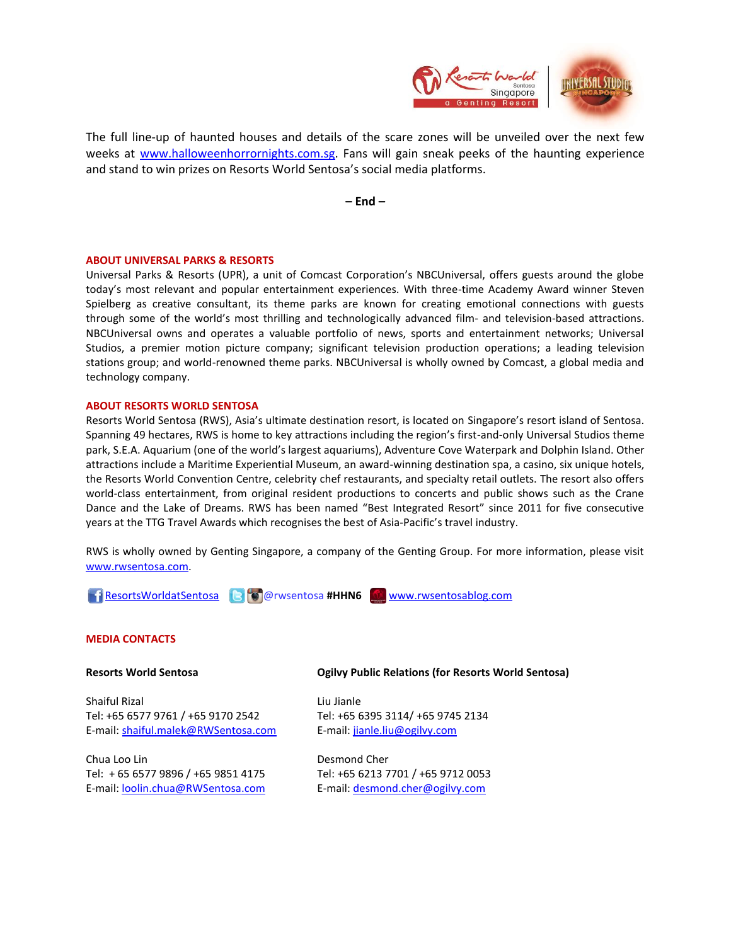

The full line-up of haunted houses and details of the scare zones will be unveiled over the next few weeks at [www.halloweenhorrornights.com.sg.](http://www.halloweenhorrornights.com.sg/) Fans will gain sneak peeks of the haunting experience and stand to win prizes on Resorts World Sentosa's social media platforms.

**– End –**

## **ABOUT UNIVERSAL PARKS & RESORTS**

Universal Parks & Resorts (UPR), a unit of Comcast Corporation's NBCUniversal, offers guests around the globe today's most relevant and popular entertainment experiences. With three-time Academy Award winner Steven Spielberg as creative consultant, its theme parks are known for creating emotional connections with guests through some of the world's most thrilling and technologically advanced film- and television-based attractions. NBCUniversal owns and operates a valuable portfolio of news, sports and entertainment networks; Universal Studios, a premier motion picture company; significant television production operations; a leading television stations group; and world-renowned theme parks. NBCUniversal is wholly owned by Comcast, a global media and technology company.

#### **ABOUT RESORTS WORLD SENTOSA**

Resorts World Sentosa (RWS), Asia's ultimate destination resort, is located on Singapore's resort island of Sentosa. Spanning 49 hectares, RWS is home to key attractions including the region's first-and-only Universal Studios theme park, S.E.A. Aquarium (one of the world's largest aquariums), Adventure Cove Waterpark and Dolphin Island. Other attractions include a Maritime Experiential Museum, an award-winning destination spa, a casino, six unique hotels, the Resorts World Convention Centre, celebrity chef restaurants, and specialty retail outlets. The resort also offers world-class entertainment, from original resident productions to concerts and public shows such as the Crane Dance and the Lake of Dreams. RWS has been named "Best Integrated Resort" since 2011 for five consecutive years at the TTG Travel Awards which recognises the best of Asia-Pacific's travel industry.

RWS is wholly owned by Genting Singapore, a company of the Genting Group. For more information, please visit [www.rwsentosa.com.](http://www.rwsentosa.com/)



#### **MEDIA CONTACTS**

**Resorts World Sentosa** 

Shaiful Rizal Tel: +65 6577 9761 / +65 9170 2542 E-mail: [shaiful.malek@RWSentosa.com](mailto:shaiful.malek@RWSentosa.com)

Chua Loo Lin Tel: + 65 6577 9896 / +65 9851 4175 E-mail: [loolin.chua@RWSentosa.com](mailto:loolin.chua@RWSentosa.com) **Ogilvy Public Relations (for Resorts World Sentosa)**

Liu Jianle Tel: +65 6395 3114/ +65 9745 2134 E-mail: [jianle.liu@ogilvy.com](mailto:jianle.liu@ogilvy.com)

Desmond Cher Tel: +65 6213 7701 / +65 9712 0053 E-mail: [desmond.cher@ogilvy.com](mailto:desmond.cher@ogilvy.com)